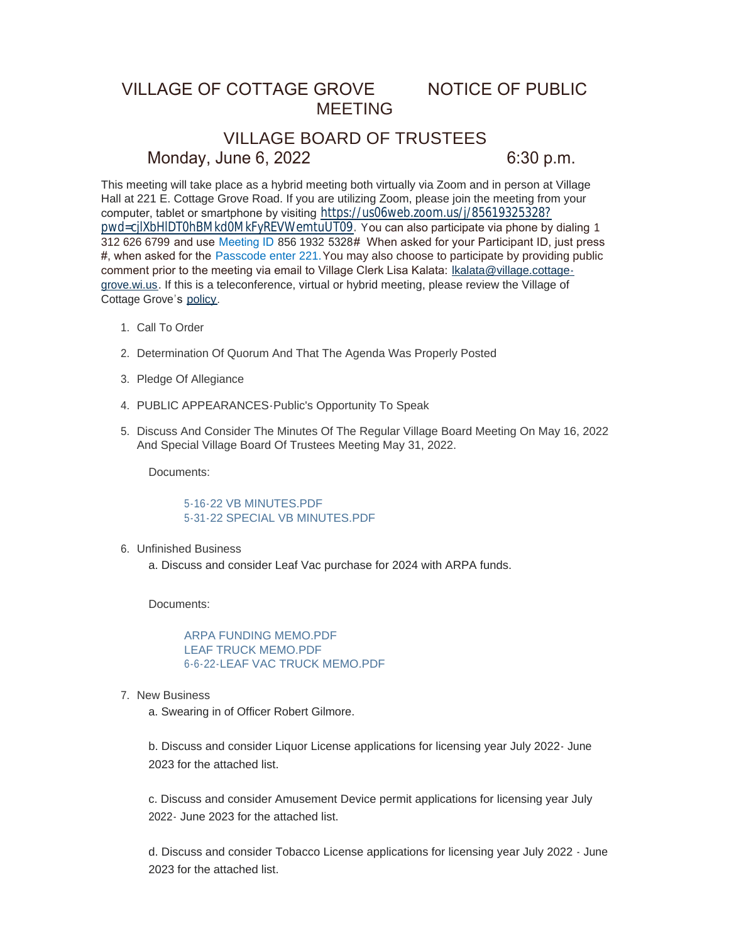## VILLAGE OF COTTAGE GROVE NOTICE OF PUBLIC MEETING

# VILLAGE BOARD OF TRUSTEES Monday, June 6, 2022 6:30 p.m.

This meeting will take place as a hybrid meeting both virtually via Zoom and in person at Village Hall at 221 E. Cottage Grove Road. If you are utilizing Zoom, please join the meeting from your computer, tablet or smartphone by visiting [https://us06web.zoom.us/j/85619325328?](https://us06web.zoom.us/j/85619325328?pwd=cjlXbHlDT0hBMkd0MkFyREVWemtuUT09) pwd=cjlXbHlDT0hBMkd0MkFyREVWemtuUT09. You can also participate via phone by dialing 1 312 626 6799 and use Meeting ID 856 1932 5328# When asked for your Participant ID, just press #, when asked for the Passcode enter 221.You may also choose to participate by providing public comment prior to the meeting via email to Village Clerk Lisa Kalata: Ikalata@village.cottagegrove.wi.us. If this is a teleconference, virtual or hybrid meeting, plea[se review the Village of](mailto:lkalata@village.cottage-grove.wi.us)  Cottage Grove's [policy](https://www.vi.cottagegrove.wi.gov/DocumentCenter/View/1850/Virtual-Hybrid-Tele-meeting-Policy-Final).

- 1. Call To Order
- 2. Determination Of Quorum And That The Agenda Was Properly Posted
- 3. Pledge Of Allegiance
- PUBLIC APPEARANCES-Public's Opportunity To Speak 4.
- 5. Discuss And Consider The Minutes Of The Regular Village Board Meeting On May 16, 2022 And Special Village Board Of Trustees Meeting May 31, 2022.

Documents:

[5-16-22 VB MINUTES.PDF](https://www.vi.cottagegrove.wi.gov/AgendaCenter/ViewFile/Item/10234?fileID=19977) [5-31-22 SPECIAL VB MINUTES.PDF](https://www.vi.cottagegrove.wi.gov/AgendaCenter/ViewFile/Item/10234?fileID=19978)

Unfinished Business 6.

a. Discuss and consider Leaf Vac purchase for 2024 with ARPA funds.

Documents:

[ARPA FUNDING MEMO.PDF](https://www.vi.cottagegrove.wi.gov/AgendaCenter/ViewFile/Item/10228?fileID=19944) [LEAF TRUCK MEMO.PDF](https://www.vi.cottagegrove.wi.gov/AgendaCenter/ViewFile/Item/10228?fileID=19945) [6-6-22-LEAF VAC TRUCK MEMO.PDF](https://www.vi.cottagegrove.wi.gov/AgendaCenter/ViewFile/Item/10228?fileID=19946)

7. New Business

a. Swearing in of Officer Robert Gilmore.

b. Discuss and consider Liquor License applications for licensing year July 2022- June 2023 for the attached list.

c. Discuss and consider Amusement Device permit applications for licensing year July 2022- June 2023 for the attached list.

d. Discuss and consider Tobacco License applications for licensing year July 2022 - June 2023 for the attached list.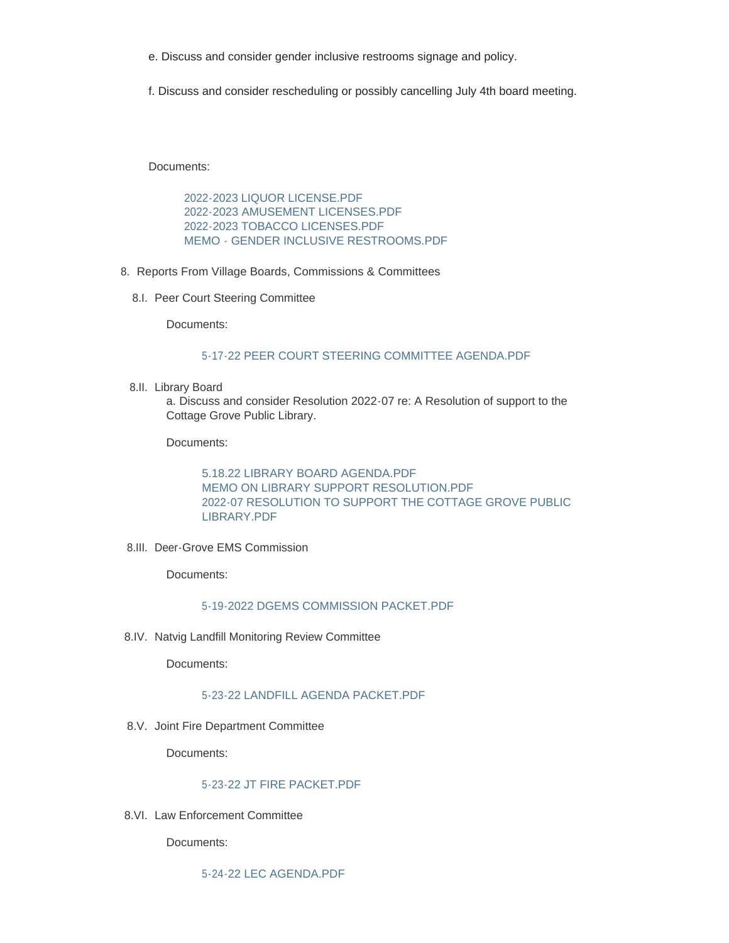- e. Discuss and consider gender inclusive restrooms signage and policy.
- f. Discuss and consider rescheduling or possibly cancelling July 4th board meeting.

Documents:

[2022-2023 LIQUOR LICENSE.PDF](https://www.vi.cottagegrove.wi.gov/AgendaCenter/ViewFile/Item/10233?fileID=19972) [2022-2023 AMUSEMENT LICENSES.PDF](https://www.vi.cottagegrove.wi.gov/AgendaCenter/ViewFile/Item/10233?fileID=19973) [2022-2023 TOBACCO LICENSES.PDF](https://www.vi.cottagegrove.wi.gov/AgendaCenter/ViewFile/Item/10233?fileID=19974) [MEMO - GENDER INCLUSIVE RESTROOMS.PDF](https://www.vi.cottagegrove.wi.gov/AgendaCenter/ViewFile/Item/10233?fileID=19975)

- 8. Reports From Village Boards, Commissions & Committees
	- 8.I. Peer Court Steering Committee

Documents:

#### [5-17-22 PEER COURT STEERING COMMITTEE AGENDA.PDF](https://www.vi.cottagegrove.wi.gov/AgendaCenter/ViewFile/Item/10166?fileID=19820)

8.II. Library Board

a. Discuss and consider Resolution 2022-07 re: A Resolution of support to the Cottage Grove Public Library.

Documents:

[5.18.22 LIBRARY BOARD AGENDA.PDF](https://www.vi.cottagegrove.wi.gov/AgendaCenter/ViewFile/Item/10232?fileID=19969) [MEMO ON LIBRARY SUPPORT RESOLUTION.PDF](https://www.vi.cottagegrove.wi.gov/AgendaCenter/ViewFile/Item/10232?fileID=19970) [2022-07 RESOLUTION TO SUPPORT THE COTTAGE GROVE PUBLIC](https://www.vi.cottagegrove.wi.gov/AgendaCenter/ViewFile/Item/10232?fileID=19971)  LIBRARY.PDF

8.III. Deer-Grove EMS Commission

Documents:

## [5-19-2022 DGEMS COMMISSION PACKET.PDF](https://www.vi.cottagegrove.wi.gov/AgendaCenter/ViewFile/Item/10168?fileID=19822)

8.IV. Natvig Landfill Monitoring Review Committee

Documents:

### [5-23-22 LANDFILL AGENDA PACKET.PDF](https://www.vi.cottagegrove.wi.gov/AgendaCenter/ViewFile/Item/10169?fileID=19823)

8.V. Joint Fire Department Committee

Documents:

#### [5-23-22 JT FIRE PACKET.PDF](https://www.vi.cottagegrove.wi.gov/AgendaCenter/ViewFile/Item/10170?fileID=19824)

8.VI. Law Enforcement Committee

Documents:

[5-24-22 LEC AGENDA.PDF](https://www.vi.cottagegrove.wi.gov/AgendaCenter/ViewFile/Item/10171?fileID=19825)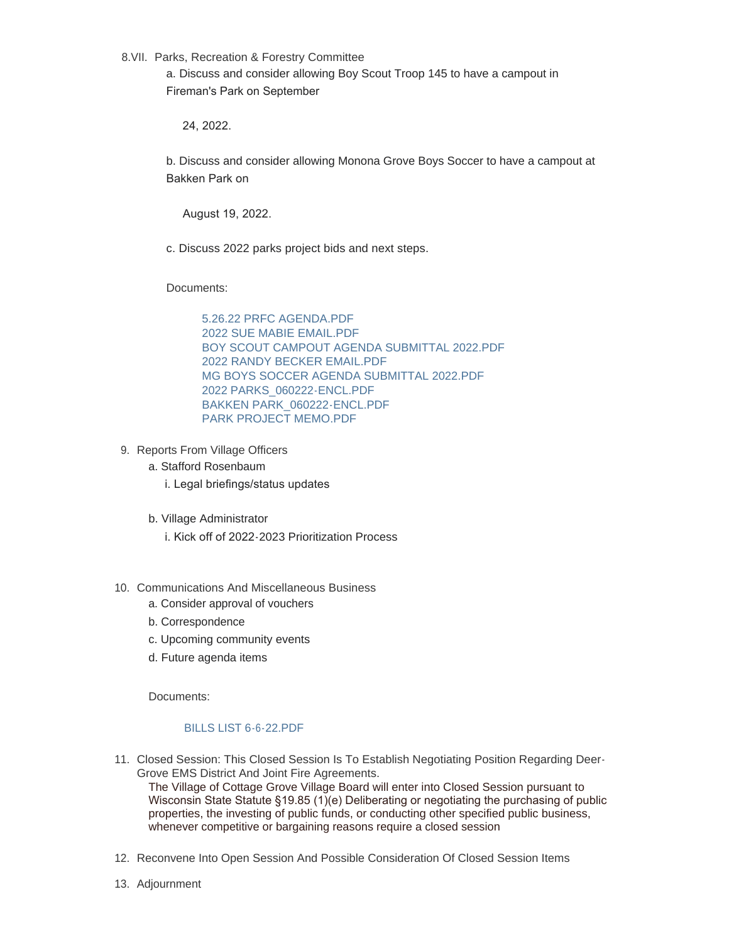8.VII. Parks, Recreation & Forestry Committee

a. Discuss and consider allowing Boy Scout Troop 145 to have a campout in Fireman's Park on September

24, 2022.

b. Discuss and consider allowing Monona Grove Boys Soccer to have a campout at Bakken Park on

August 19, 2022.

c. Discuss 2022 parks project bids and next steps.

Documents:

[5.26.22 PRFC AGENDA.PDF](https://www.vi.cottagegrove.wi.gov/AgendaCenter/ViewFile/Item/10231?fileID=19960) [2022 SUE MABIE EMAIL.PDF](https://www.vi.cottagegrove.wi.gov/AgendaCenter/ViewFile/Item/10231?fileID=19961) [BOY SCOUT CAMPOUT AGENDA SUBMITTAL 2022.PDF](https://www.vi.cottagegrove.wi.gov/AgendaCenter/ViewFile/Item/10231?fileID=19962) [2022 RANDY BECKER EMAIL.PDF](https://www.vi.cottagegrove.wi.gov/AgendaCenter/ViewFile/Item/10231?fileID=19963) [MG BOYS SOCCER AGENDA SUBMITTAL 2022.PDF](https://www.vi.cottagegrove.wi.gov/AgendaCenter/ViewFile/Item/10231?fileID=19964) [2022 PARKS\\_060222-ENCL.PDF](https://www.vi.cottagegrove.wi.gov/AgendaCenter/ViewFile/Item/10231?fileID=19965) [BAKKEN PARK\\_060222-ENCL.PDF](https://www.vi.cottagegrove.wi.gov/AgendaCenter/ViewFile/Item/10231?fileID=19966) [PARK PROJECT MEMO.PDF](https://www.vi.cottagegrove.wi.gov/AgendaCenter/ViewFile/Item/10231?fileID=19967)

- 9. Reports From Village Officers
	- a. Stafford Rosenbaum
		- i. Legal briefings/status updates
	- b. Village Administrator

i. Kick off of 2022-2023 Prioritization Process

- 10. Communications And Miscellaneous Business
	- a. Consider approval of vouchers
	- b. Correspondence
	- c. Upcoming community events
	- d. Future agenda items

Documents:

## [BILLS LIST 6-6-22.PDF](https://www.vi.cottagegrove.wi.gov/AgendaCenter/ViewFile/Item/10225?fileID=19933)

Closed Session: This Closed Session Is To Establish Negotiating Position Regarding Deer-11. Grove EMS District And Joint Fire Agreements.

The Village of Cottage Grove Village Board will enter into Closed Session pursuant to Wisconsin State Statute §19.85 (1)(e) Deliberating or negotiating the purchasing of public properties, the investing of public funds, or conducting other specified public business, whenever competitive or bargaining reasons require a closed session

- 12. Reconvene Into Open Session And Possible Consideration Of Closed Session Items
- 13. Adjournment